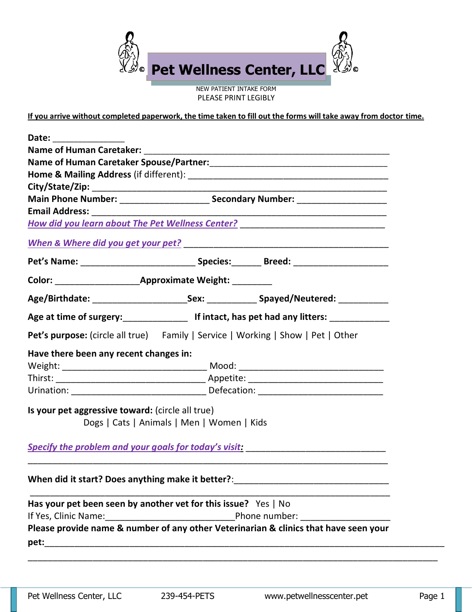

NEW PATIENT INTAKE FORM PLEASE PRINT LEGIBLY

**If you arrive without completed paperwork, the time taken to fill out the forms will take away from doctor time.**

| How did you learn about The Pet Wellness Center? _______________________________                                                                                                                                                      |  |                                                                                      |  |  |  |
|---------------------------------------------------------------------------------------------------------------------------------------------------------------------------------------------------------------------------------------|--|--------------------------------------------------------------------------------------|--|--|--|
|                                                                                                                                                                                                                                       |  |                                                                                      |  |  |  |
|                                                                                                                                                                                                                                       |  |                                                                                      |  |  |  |
|                                                                                                                                                                                                                                       |  |                                                                                      |  |  |  |
| Age/Birthdate: _____________________________Sex: _________________Spayed/Neutered: ________________                                                                                                                                   |  |                                                                                      |  |  |  |
| Age at time of surgery:<br><u>Lettime of surgery:</u> Lettimian is a list of the set had any litters: Lettime of surgery: Lettime of surgery: Lettime of surgery: Lettime of surgery: Lettime of surgery: Lettime of surgery: Lettime |  |                                                                                      |  |  |  |
| Pet's purpose: (circle all true) Family   Service   Working   Show   Pet   Other                                                                                                                                                      |  |                                                                                      |  |  |  |
| Have there been any recent changes in:                                                                                                                                                                                                |  |                                                                                      |  |  |  |
|                                                                                                                                                                                                                                       |  |                                                                                      |  |  |  |
|                                                                                                                                                                                                                                       |  |                                                                                      |  |  |  |
|                                                                                                                                                                                                                                       |  |                                                                                      |  |  |  |
| Is your pet aggressive toward: (circle all true)                                                                                                                                                                                      |  |                                                                                      |  |  |  |
| Dogs   Cats   Animals   Men   Women   Kids                                                                                                                                                                                            |  |                                                                                      |  |  |  |
|                                                                                                                                                                                                                                       |  |                                                                                      |  |  |  |
|                                                                                                                                                                                                                                       |  |                                                                                      |  |  |  |
| When did it start? Does anything make it better?:                                                                                                                                                                                     |  |                                                                                      |  |  |  |
| Has your pet been seen by another vet for this issue? Yes   No                                                                                                                                                                        |  |                                                                                      |  |  |  |
|                                                                                                                                                                                                                                       |  |                                                                                      |  |  |  |
|                                                                                                                                                                                                                                       |  | Please provide name & number of any other Veterinarian & clinics that have seen your |  |  |  |
|                                                                                                                                                                                                                                       |  |                                                                                      |  |  |  |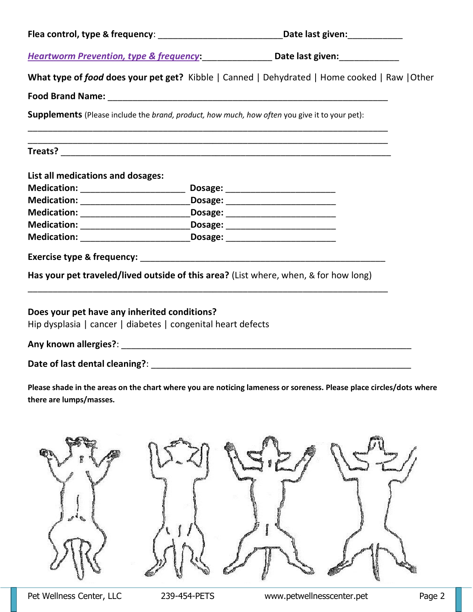|                                                                                                              | Flea control, type & frequency: _________________________________Date last given: __________________                |       |
|--------------------------------------------------------------------------------------------------------------|---------------------------------------------------------------------------------------------------------------------|-------|
|                                                                                                              | Heartworm Prevention, type & frequency: Date last given: ________________________                                   |       |
|                                                                                                              | What type of food does your pet get? Kibble   Canned   Dehydrated   Home cooked   Raw   Other                       |       |
|                                                                                                              |                                                                                                                     |       |
| <b>Supplements</b> (Please include the brand, product, how much, how often you give it to your pet):         |                                                                                                                     |       |
|                                                                                                              |                                                                                                                     |       |
| List all medications and dosages:                                                                            |                                                                                                                     |       |
|                                                                                                              |                                                                                                                     |       |
| Medication: ________________________________Dosage: ____________________________                             |                                                                                                                     |       |
| Medication: ________________________________Dosage: ____________________________                             |                                                                                                                     |       |
| Medication: ________________________________Dosage: ____________________________                             |                                                                                                                     |       |
| Medication: ________________________________Dosage: ____________________________                             |                                                                                                                     |       |
|                                                                                                              |                                                                                                                     |       |
|                                                                                                              | Has your pet traveled/lived outside of this area? (List where, when, & for how long)                                |       |
| Does your pet have any inherited conditions?<br>Hip dysplasia   cancer   diabetes   congenital heart defects |                                                                                                                     |       |
|                                                                                                              |                                                                                                                     |       |
|                                                                                                              |                                                                                                                     |       |
| there are lumps/masses.                                                                                      | Please shade in the areas on the chart where you are noticing lameness or soreness. Please place circles/dots where |       |
| PLA-UL                                                                                                       |                                                                                                                     | pina) |

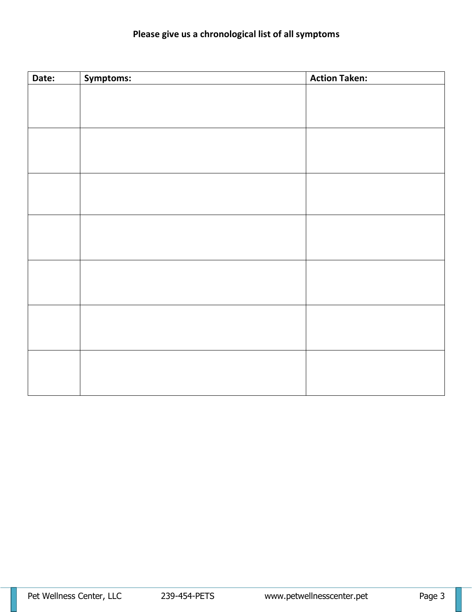## **Please give us a chronological list of all symptoms**

| Date: | Symptoms: | <b>Action Taken:</b> |
|-------|-----------|----------------------|
|       |           |                      |
|       |           |                      |
|       |           |                      |
|       |           |                      |
|       |           |                      |
|       |           |                      |
|       |           |                      |
|       |           |                      |
|       |           |                      |
|       |           |                      |
|       |           |                      |
|       |           |                      |
|       |           |                      |
|       |           |                      |
|       |           |                      |
|       |           |                      |
|       |           |                      |
|       |           |                      |
|       |           |                      |
|       |           |                      |
|       |           |                      |
|       |           |                      |
|       |           |                      |